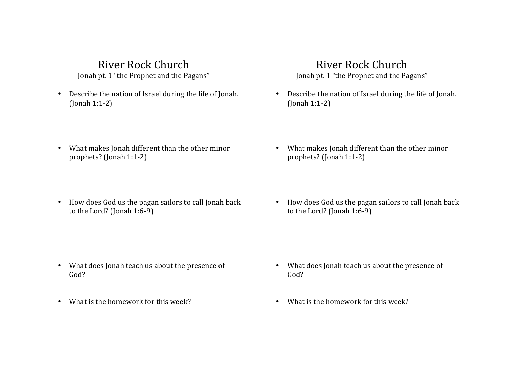# River Rock Church

Jonah pt. 1 "the Prophet and the Pagans"

• Describe the nation of Israel during the life of Jonah. (Jonah 1:1-2)

## River Rock Church

Jonah pt. 1 "the Prophet and the Pagans"

• Describe the nation of Israel during the life of Jonah. (Jonah 1:1-2)

- What makes Jonah different than the other minor prophets? (Jonah 1:1-2)
- How does God us the pagan sailors to call Jonah back to the Lord? (Jonah  $1:6-9$ )

- What does Jonah teach us about the presence of God?
- What is the homework for this week?
- What makes Jonah different than the other minor prophets? (Jonah 1:1-2)
- How does God us the pagan sailors to call Jonah back to the Lord? (Jonah  $1:6-9$ )

- What does Jonah teach us about the presence of God?
- What is the homework for this week?